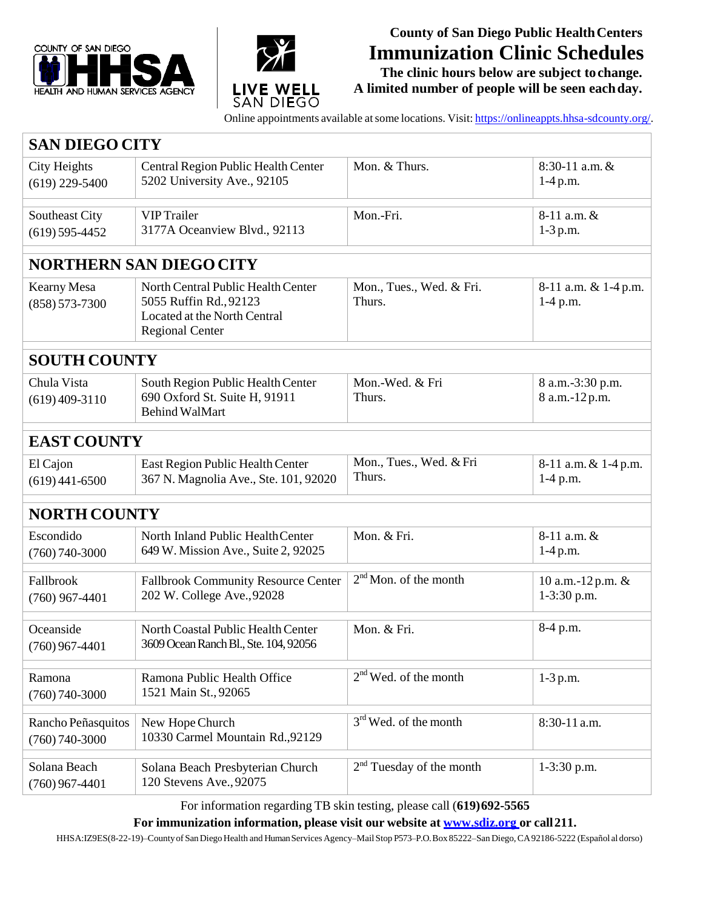



## **County of San Diego Public HealthCenters Immunization Clinic Schedules**

**The clinic hours below are subject tochange. A limited number of people will be seen eachday.**

Online appointments available at some locations. Visit: [https://onlineappts.hhsa-sdcounty.org/.](https://onlineappts.hhsa-sdcounty.org/)

| <b>SAN DIEGO CITY</b>                    |                                                                                                                        |                                      |                                    |  |
|------------------------------------------|------------------------------------------------------------------------------------------------------------------------|--------------------------------------|------------------------------------|--|
| City Heights<br>$(619)$ 229-5400         | Central Region Public Health Center<br>5202 University Ave., 92105                                                     | Mon. & Thurs.                        | $8:30-11$ a.m. &<br>$1-4 p.m.$     |  |
| Southeast City<br>$(619) 595 - 4452$     | <b>VIP</b> Trailer<br>3177A Oceanview Blvd., 92113                                                                     | Mon.-Fri.                            | 8-11 a.m. &<br>$1-3$ p.m.          |  |
| <b>NORTHERN SAN DIEGO CITY</b>           |                                                                                                                        |                                      |                                    |  |
| <b>Kearny Mesa</b><br>$(858) 573 - 7300$ | North Central Public Health Center<br>5055 Ruffin Rd., 92123<br>Located at the North Central<br><b>Regional Center</b> | Mon., Tues., Wed. & Fri.<br>Thurs.   | 8-11 a.m. & 1-4 p.m.<br>$1-4$ p.m. |  |
| <b>SOUTH COUNTY</b>                      |                                                                                                                        |                                      |                                    |  |
| Chula Vista<br>$(619)$ 409-3110          | South Region Public Health Center<br>690 Oxford St. Suite H, 91911<br><b>Behind WalMart</b>                            | Mon.-Wed. & Fri<br>Thurs.            | 8 a.m.-3:30 p.m.<br>8 a.m.-12 p.m. |  |
| <b>EAST COUNTY</b>                       |                                                                                                                        |                                      |                                    |  |
| El Cajon<br>$(619)$ 441-6500             | East Region Public Health Center<br>367 N. Magnolia Ave., Ste. 101, 92020                                              | Mon., Tues., Wed. & Fri<br>Thurs.    | 8-11 a.m. & 1-4 p.m.<br>1-4 p.m.   |  |
| <b>NORTH COUNTY</b>                      |                                                                                                                        |                                      |                                    |  |
| Escondido<br>$(760) 740 - 3000$          | North Inland Public Health Center<br>649 W. Mission Ave., Suite 2, 92025                                               | Mon. & Fri.                          | 8-11 a.m. &<br>$1-4 p.m.$          |  |
| Fallbrook<br>$(760)$ 967-4401            | <b>Fallbrook Community Resource Center</b><br>202 W. College Ave., 92028                                               | $2nd$ Mon. of the month              | 10 a.m.-12 p.m. &<br>1-3:30 p.m.   |  |
| Oceanside<br>$(760)$ 967-4401            | North Coastal Public Health Center<br>3609 Ocean Ranch Bl., Ste. 104, 92056                                            | Mon. & Fri.                          | 8-4 p.m.                           |  |
| Ramona<br>$(760) 740 - 3000$             | Ramona Public Health Office<br>1521 Main St., 92065                                                                    | 2 <sup>nd</sup> Wed. of the month    | $1-3$ p.m.                         |  |
| Rancho Peñasquitos<br>$(760) 740 - 3000$ | New Hope Church<br>10330 Carmel Mountain Rd., 92129                                                                    | $3rd$ Wed. of the month              | 8:30-11 a.m.                       |  |
| Solana Beach<br>$(760)$ 967-4401         | Solana Beach Presbyterian Church<br>120 Stevens Ave., 92075                                                            | 2 <sup>nd</sup> Tuesday of the month | $1-3:30$ p.m.                      |  |

For information regarding TB skin testing, please call (**619)692-5565**

**For immunization information, please visit our website at [www.sdiz.org](http://www.sdiz.org/) or call211.**

HHSA:IZ9ES(8-22-19)–Countyof SanDiegoHealth and HumanServices Agency–MailStop P573–P.O.Box 85222–San Diego,CA92186-5222 (Español aldorso)